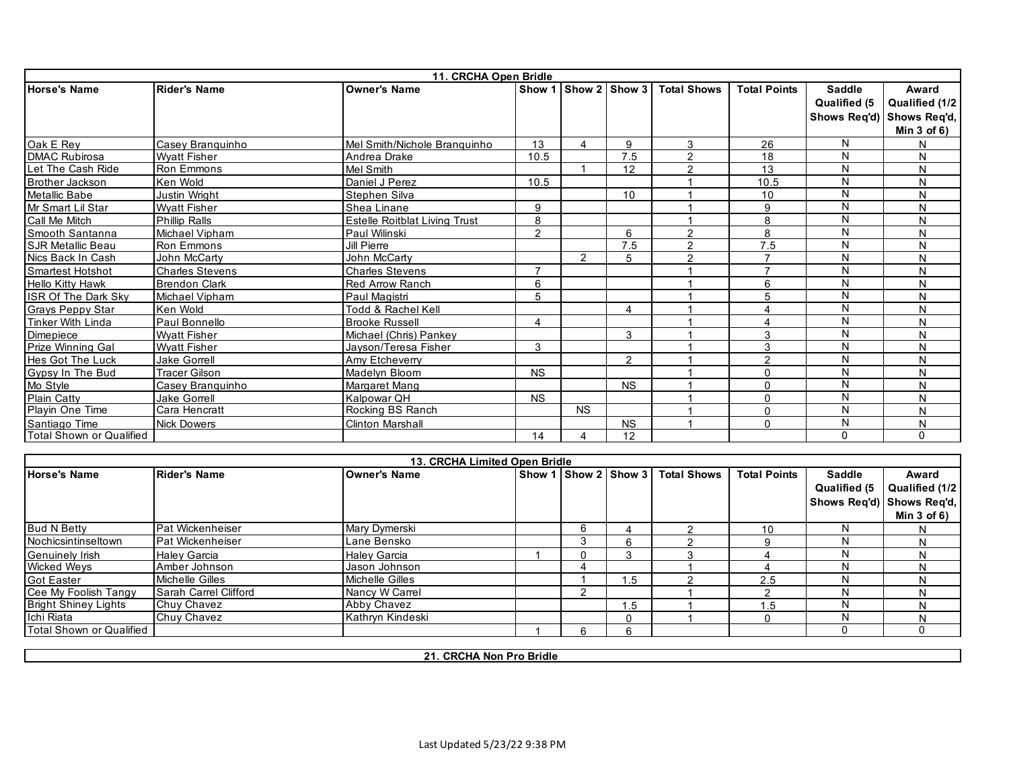|                            | 11. CRCHA Open Bridle  |                               |                |                       |           |                    |                     |                     |                  |  |  |  |
|----------------------------|------------------------|-------------------------------|----------------|-----------------------|-----------|--------------------|---------------------|---------------------|------------------|--|--|--|
| <b>Horse's Name</b>        | <b>Rider's Name</b>    | <b>Owner's Name</b>           | Show 1         | <b>Show 2 Show 3</b>  |           | <b>Total Shows</b> | <b>Total Points</b> | <b>Saddle</b>       | Award            |  |  |  |
|                            |                        |                               |                |                       |           |                    |                     | <b>Qualified (5</b> | Qualified (1/2   |  |  |  |
|                            |                        |                               |                |                       |           |                    |                     | Shows Req'd)        | Shows Req'd,     |  |  |  |
|                            |                        |                               |                |                       |           |                    |                     |                     | Min $3$ of $6$ ) |  |  |  |
| Oak E Rev                  | Casey Branquinho       | Mel Smith/Nichole Branquinho  | 13             | $\boldsymbol{\Delta}$ | 9         | 3                  | 26                  | N                   | N                |  |  |  |
| <b>DMAC Rubirosa</b>       | <b>Wyatt Fisher</b>    | Andrea Drake                  | 10.5           |                       | 7.5       | $\overline{2}$     | 18                  | N                   | N                |  |  |  |
| Let The Cash Ride          | Ron Emmons             | Mel Smith                     |                |                       | 12        | $\overline{2}$     | 13                  | N                   | N                |  |  |  |
| <b>Brother Jackson</b>     | Ken Wold               | Daniel J Perez                | 10.5           |                       |           |                    | 10.5                | N                   | N                |  |  |  |
| <b>Metallic Babe</b>       | <b>Justin Wright</b>   | Stephen Silva                 |                |                       | 10        |                    | 10                  | N                   | N                |  |  |  |
| Mr Smart Lil Star          | <b>Wyatt Fisher</b>    | Shea Linane                   | 9              |                       |           |                    | 9                   | N                   | N                |  |  |  |
| Call Me Mitch              | <b>Phillip Ralls</b>   | Estelle Roitblat Living Trust | 8              |                       |           |                    | 8                   | N                   | N                |  |  |  |
| Smooth Santanna            | Michael Vipham         | Paul Wilinski                 | $\overline{2}$ |                       | 6         | $\overline{2}$     | 8                   | N                   | N                |  |  |  |
| <b>SJR Metallic Beau</b>   | Ron Emmons             | Jill Pierre                   |                |                       | 7.5       | $\overline{2}$     | 7.5                 | N                   | N                |  |  |  |
| Nics Back In Cash          | John McCarty           | John McCarty                  |                | $\overline{2}$        | 5         | $\overline{2}$     |                     | N                   | N                |  |  |  |
| <b>Smartest Hotshot</b>    | <b>Charles Stevens</b> | <b>Charles Stevens</b>        | $\overline{7}$ |                       |           |                    | $\overline{7}$      | N                   | N                |  |  |  |
| <b>Hello Kitty Hawk</b>    | <b>Brendon Clark</b>   | <b>Red Arrow Ranch</b>        | 6              |                       |           |                    | 6                   | N                   | N                |  |  |  |
| <b>ISR Of The Dark Sky</b> | Michael Vipham         | Paul Magistri                 | 5              |                       |           |                    | 5                   | N                   | N                |  |  |  |
| <b>Grays Peppy Star</b>    | Ken Wold               | Todd & Rachel Kell            |                |                       | 4         |                    |                     | N                   | N                |  |  |  |
| Tinker With Linda          | Paul Bonnello          | <b>Brooke Russell</b>         | 4              |                       |           |                    | $\Delta$            | N                   | N                |  |  |  |
| Dimepiece                  | <b>Wyatt Fisher</b>    | Michael (Chris) Pankey        |                |                       | 3         |                    | 3                   | N                   | N                |  |  |  |
| Prize Winning Gal          | <b>Wyatt Fisher</b>    | Javson/Teresa Fisher          | 3              |                       |           |                    | 3                   | N                   | N                |  |  |  |
| <b>Hes Got The Luck</b>    | <b>Jake Gorrell</b>    | Amy Etcheverry                |                |                       | 2         |                    | $\mathcal{P}$       | N                   | N                |  |  |  |
| Gypsy In The Bud           | <b>Tracer Gilson</b>   | Madelyn Bloom                 | <b>NS</b>      |                       |           |                    | 0                   | N                   | N                |  |  |  |
| Mo Style                   | Casey Branquinho       | Margaret Mang                 |                |                       | <b>NS</b> |                    | $\Omega$            | N                   | N                |  |  |  |
| <b>Plain Catty</b>         | <b>Jake Gorrell</b>    | Kalpowar QH                   | <b>NS</b>      |                       |           |                    | $\Omega$            | N                   | N                |  |  |  |
| Playin One Time            | Cara Hencratt          | Rocking BS Ranch              |                | <b>NS</b>             |           |                    | $\Omega$            | N                   | N                |  |  |  |
| Santiago Time              | Nick Dowers            | <b>Clinton Marshall</b>       |                |                       | <b>NS</b> |                    | $\Omega$            | N                   | N                |  |  |  |
| Total Shown or Qualified   |                        |                               | 14             |                       | 12        |                    |                     | $\Omega$            | $\mathbf{0}$     |  |  |  |
|                            |                        |                               |                |                       |           |                    |                     |                     |                  |  |  |  |

|                             |                         | 13. CRCHA Limited Open Bridle |  |          |                                  |                     |               |                           |
|-----------------------------|-------------------------|-------------------------------|--|----------|----------------------------------|---------------------|---------------|---------------------------|
| <b>Horse's Name</b>         | <b>Rider's Name</b>     | <b>Owner's Name</b>           |  |          | Show 1 Show 2 Show 3 Total Shows | <b>Total Points</b> | <b>Saddle</b> | Award                     |
|                             |                         |                               |  |          |                                  |                     | Qualified (5  | Qualified (1/2            |
|                             |                         |                               |  |          |                                  |                     |               | Shows Reg'd) Shows Reg'd, |
|                             |                         |                               |  |          |                                  |                     |               | Min $3$ of $6$ )          |
| <b>Bud N Betty</b>          | Pat Wickenheiser        | Mary Dymerski                 |  |          |                                  | 10                  | N             | N                         |
| Nochicsintinseltown         | <b>Pat Wickenheiser</b> | Lane Bensko                   |  | 6        |                                  |                     | N             | N                         |
| <b>Genuinely Irish</b>      | <b>Haley Garcia</b>     | <b>Halev Garcia</b>           |  |          |                                  |                     | N             |                           |
| <b>Wicked Weys</b>          | Amber Johnson           | Jason Johnson                 |  |          |                                  |                     | N             | N                         |
| <b>Got Easter</b>           | Michelle Gilles         | Michelle Gilles               |  | . .5     |                                  | 2.5                 | N             |                           |
| Cee My Foolish Tangy        | Sarah Carrel Clifford   | Nancy W Carrel                |  |          |                                  |                     | N             |                           |
| <b>Bright Shiney Lights</b> | Chuy Chavez             | Abby Chavez                   |  | 1.5      |                                  | .5                  | N             | N                         |
| Ichi Riata                  | Chuy Chavez             | Kathryn Kindeski              |  | $\Omega$ |                                  |                     | N             | N                         |
| Total Shown or Qualified    |                         |                               |  | 6        |                                  |                     |               |                           |

**21. CRCHA Non Pro Bridle**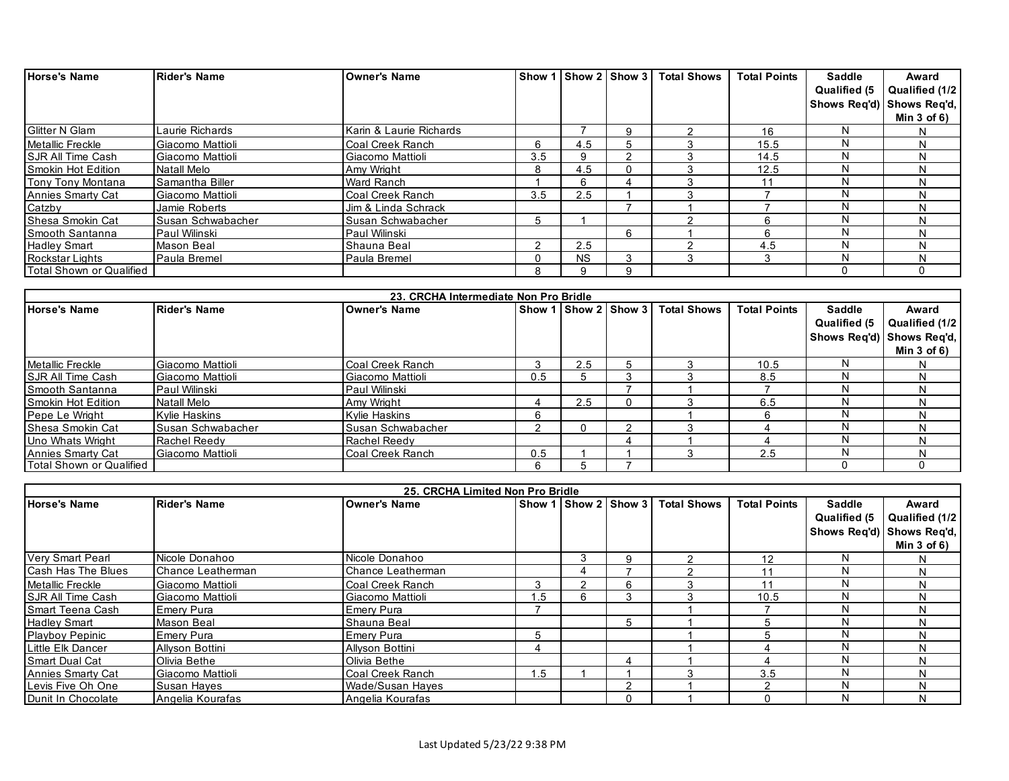| <b>Horse's Name</b>       | Rider's Name      | <b>Owner's Name</b>     |     |           | Show 1 Show 2 Show 3 | <b>Total Shows</b> | <b>Total Points</b> | <b>Saddle</b> | Award                     |
|---------------------------|-------------------|-------------------------|-----|-----------|----------------------|--------------------|---------------------|---------------|---------------------------|
|                           |                   |                         |     |           |                      |                    |                     | Qualified (5  | Qualified (1/2            |
|                           |                   |                         |     |           |                      |                    |                     |               | Shows Reg'd) Shows Reg'd, |
|                           |                   |                         |     |           |                      |                    |                     |               | Min $3$ of $6)$           |
| <b>Glitter N Glam</b>     | Laurie Richards   | Karin & Laurie Richards |     |           | 9                    |                    | 16                  | N             |                           |
| Metallic Freckle          | Giacomo Mattioli  | Coal Creek Ranch        | 6   | 4.5       | :C                   |                    | 15.5                | N             | N                         |
| <b>SJR All Time Cash</b>  | Giacomo Mattioli  | Giacomo Mattioli        | 3.5 | 9         | ົ                    |                    | 14.5                | N             | N                         |
| <b>Smokin Hot Edition</b> | Natall Melo       | Amy Wright              | 8   | 4.5       | $\mathbf{I}$         |                    | 12.5                | N             | N                         |
| Tony Tony Montana         | Samantha Biller   | <b>Ward Ranch</b>       |     |           |                      |                    | 11                  | N             | N                         |
| Annies Smarty Cat         | Giacomo Mattioli  | Coal Creek Ranch        | 3.5 | 2.5       |                      |                    |                     | N             | N                         |
| Catzby                    | Jamie Roberts     | Jim & Linda Schrack     |     |           |                      |                    |                     |               | N                         |
| <b>Shesa Smokin Cat</b>   | Susan Schwabacher | Susan Schwabacher       | 5   |           |                      |                    | 6                   | N             | N                         |
| Smooth Santanna           | Paul Wilinski     | Paul Wilinski           |     |           | 6                    |                    | 6                   | N             | N                         |
| <b>Hadley Smart</b>       | <b>Mason Beal</b> | Shauna Beal             |     | 2.5       |                      |                    | 4.5                 | N             | N                         |
| Rockstar Lights           | Paula Bremel      | Paula Bremel            |     | <b>NS</b> | 3                    |                    | 3                   | N             | N                         |
| Total Shown or Qualified  |                   |                         |     | a         | 9                    |                    |                     | ŋ             |                           |

|                           |                     | 23. CRCHA Intermediate Non Pro Bridle |     |                         |          |                    |                     |               |                           |
|---------------------------|---------------------|---------------------------------------|-----|-------------------------|----------|--------------------|---------------------|---------------|---------------------------|
| <b>Horse's Name</b>       | <b>Rider's Name</b> | <b>Owner's Name</b>                   |     | Show 11 Show 21 Show 31 |          | <b>Total Shows</b> | <b>Total Points</b> | <b>Saddle</b> | Award                     |
|                           |                     |                                       |     |                         |          |                    |                     | Qualified (5  | Qualified (1/2            |
|                           |                     |                                       |     |                         |          |                    |                     |               | Shows Reg'd) Shows Reg'd, |
|                           |                     |                                       |     |                         |          |                    |                     |               | Min $3$ of $6$ )          |
| <b>Metallic Freckle</b>   | Giacomo Mattioli    | Coal Creek Ranch                      |     | 2.5                     |          |                    | 10.5                |               |                           |
| <b>ISJR All Time Cash</b> | Giacomo Mattioli    | Giacomo Mattioli                      | 0.5 |                         | ີ        |                    | 8.5                 |               |                           |
| Smooth Santanna           | Paul Wilinski       | Paul Wilinski                         |     |                         |          |                    |                     |               |                           |
| <b>Smokin Hot Edition</b> | Natall Melo         | Amy Wright                            |     | 2.5                     | 0        |                    | 6.5                 |               |                           |
| Pepe Le Wright            | Kylie Haskins       | <b>Kylie Haskins</b>                  | 6   |                         |          |                    |                     |               |                           |
| <b>Shesa Smokin Cat</b>   | Susan Schwabacher   | Susan Schwabacher                     |     |                         | っ        |                    |                     |               | N                         |
| Uno Whats Wright          | Rachel Reedy        | Rachel Reedy                          |     |                         | $\Delta$ |                    |                     |               | N                         |
| Annies Smarty Cat         | Giacomo Mattioli    | Coal Creek Ranch                      | 0.5 |                         |          |                    | 2.5                 |               |                           |
| Total Shown or Qualified  |                     |                                       | 6   |                         |          |                    |                     |               |                           |

|                          | 25. CRCHA Limited Non Pro Bridle |                     |        |                 |   |                    |                     |               |                           |  |  |  |
|--------------------------|----------------------------------|---------------------|--------|-----------------|---|--------------------|---------------------|---------------|---------------------------|--|--|--|
| <b>Horse's Name</b>      | <b>Rider's Name</b>              | <b>Owner's Name</b> | Show 1 | I Show 2 Show 3 |   | <b>Total Shows</b> | <b>Total Points</b> | <b>Saddle</b> | Award                     |  |  |  |
|                          |                                  |                     |        |                 |   |                    |                     | Qualified (5  | Qualified (1/2            |  |  |  |
|                          |                                  |                     |        |                 |   |                    |                     |               | Shows Reg'd) Shows Reg'd, |  |  |  |
|                          |                                  |                     |        |                 |   |                    |                     |               | Min $3$ of $6$ )          |  |  |  |
| <b>Very Smart Pearl</b>  | Nicole Donahoo                   | Nicole Donahoo      |        | ۰.              | 9 |                    | 12                  | N             | N.                        |  |  |  |
| Cash Has The Blues       | Chance Leatherman                | Chance Leatherman   |        |                 |   |                    | 11                  | N             |                           |  |  |  |
| <b>Metallic Freckle</b>  | Giacomo Mattioli                 | Coal Creek Ranch    | κ      |                 | 6 |                    |                     | N             |                           |  |  |  |
| <b>SJR All Time Cash</b> | Giacomo Mattioli                 | Giacomo Mattioli    | .5     | 'n              | 3 |                    | 10.5                | N             | N                         |  |  |  |
| <b>Smart Teena Cash</b>  | Emery Pura                       | Emery Pura          |        |                 |   |                    |                     | N             |                           |  |  |  |
| <b>Hadley Smart</b>      | Mason Beal                       | Shauna Beal         |        |                 | 5 |                    |                     | N             |                           |  |  |  |
| <b>Playboy Pepinic</b>   | Emery Pura                       | <b>Emery Pura</b>   | 'n.    |                 |   |                    |                     | N             | N                         |  |  |  |
| Little Elk Dancer        | Allyson Bottini                  | Allyson Bottini     |        |                 |   |                    |                     | N             | N                         |  |  |  |
| <b>Smart Dual Cat</b>    | Olivia Bethe                     | Olivia Bethe        |        |                 | Δ |                    |                     | N             |                           |  |  |  |
| Annies Smarty Cat        | Giacomo Mattioli                 | Coal Creek Ranch    | .5     |                 |   |                    | 3.5                 | N             |                           |  |  |  |
| Levis Five Oh One        | Susan Hayes                      | Wade/Susan Hayes    |        |                 |   |                    |                     | N             | N                         |  |  |  |
| Dunit In Chocolate       | Angelia Kourafas                 | Angelia Kourafas    |        |                 |   |                    |                     | N             |                           |  |  |  |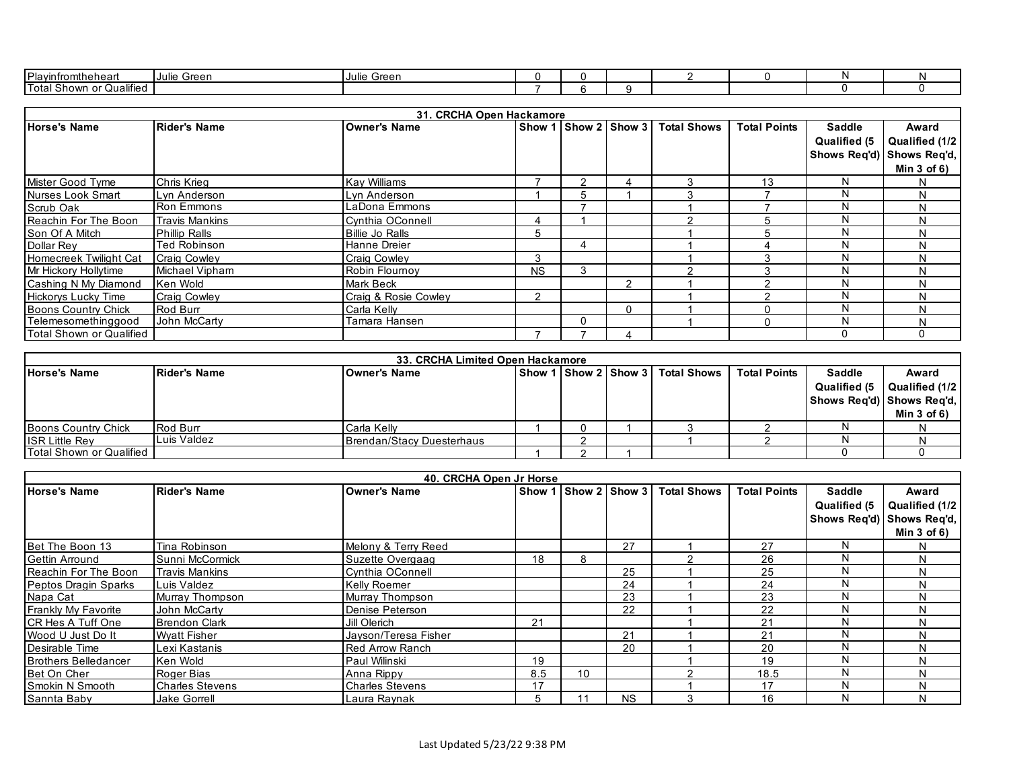| Plavinfr<br>nn+r<br>והמו<br>неан                                                | Green<br>-IJulie | ≛root<br>I Julie<br>эгеен |  |  |  |  |
|---------------------------------------------------------------------------------|------------------|---------------------------|--|--|--|--|
| $\cdots$<br><b>ITota</b><br>∵Qualified<br><b>Shown</b><br><u>_</u><br>IU WII UI |                  |                           |  |  |  |  |

|                            |                       |                        | 31. CRCHA Open Hackamore |                     |                          |                    |                     |               |                           |
|----------------------------|-----------------------|------------------------|--------------------------|---------------------|--------------------------|--------------------|---------------------|---------------|---------------------------|
| <b>Horse's Name</b>        | <b>Rider's Name</b>   | <b>Owner's Name</b>    | Show 1                   | I I Show 2   Show 3 |                          | <b>Total Shows</b> | <b>Total Points</b> | <b>Saddle</b> | Award                     |
|                            |                       |                        |                          |                     |                          |                    |                     | Qualified (5  | Qualified (1/2            |
|                            |                       |                        |                          |                     |                          |                    |                     |               | Shows Req'd) Shows Req'd, |
|                            |                       |                        |                          |                     |                          |                    |                     |               | Min $3$ of $6$ )          |
| Mister Good Tyme           | Chris Krieg           | Kav Williams           |                          |                     | $\overline{\phantom{a}}$ |                    | 13                  |               | N                         |
| Nurses Look Smart          | Lyn Anderson          | Lyn Anderson           |                          | 'n                  |                          |                    |                     |               | N                         |
| Scrub Oak                  | <b>Ron Emmons</b>     | LaDona Emmons          |                          |                     |                          |                    |                     |               | N                         |
| Reachin For The Boon       | <b>Travis Mankins</b> | Cynthia OConnell       |                          |                     |                          |                    |                     | N             | N                         |
| Son Of A Mitch             | <b>Phillip Ralls</b>  | <b>Billie Jo Ralls</b> | 5                        |                     |                          |                    |                     |               | N                         |
| Dollar Rey                 | Ted Robinson          | Hanne Dreier           |                          |                     |                          |                    |                     |               | N                         |
| Homecreek Twilight Cat     | <b>Craig Cowley</b>   | Craig Cowley           | 3                        |                     |                          |                    |                     |               | N                         |
| Mr Hickory Hollytime       | Michael Vipham        | Robin Flournoy         | <b>NS</b>                | 3                   |                          |                    |                     |               | N                         |
| Cashing N My Diamond       | Ken Wold              | <b>Mark Beck</b>       |                          |                     | $\mathcal{P}$            |                    |                     |               | N                         |
| <b>Hickorys Lucky Time</b> | <b>Craig Cowley</b>   | Craig & Rosie Cowley   | ◠                        |                     |                          |                    |                     |               | N                         |
| Boons Country Chick        | Rod Burr              | Carla Kelly            |                          |                     | $\Omega$                 |                    |                     |               | N                         |
| Telemesomethinggood        | John McCarty          | Tamara Hansen          |                          | 0                   |                          |                    | $\Omega$            | N             | N                         |
| Total Shown or Qualified   |                       |                        |                          |                     | Δ                        |                    |                     | 0             |                           |

|                                  | 33. CRCHA Limited Open Hackamore |                           |  |  |  |                                        |                     |                           |                  |  |  |  |
|----------------------------------|----------------------------------|---------------------------|--|--|--|----------------------------------------|---------------------|---------------------------|------------------|--|--|--|
| <b>Horse's Name</b>              | <b>IRider's Name</b>             | lOwner's Name             |  |  |  | Show 1   Show 2   Show 3   Total Shows | <b>Total Points</b> | <b>Saddle</b>             | Award            |  |  |  |
|                                  |                                  |                           |  |  |  |                                        |                     | Qualified (5              | Qualified (1/2   |  |  |  |
|                                  |                                  |                           |  |  |  |                                        |                     | Shows Reg'd) Shows Reg'd, |                  |  |  |  |
|                                  |                                  |                           |  |  |  |                                        |                     |                           | Min $3$ of $6$ ) |  |  |  |
| Boons Country Chick              | <b>Rod Burr</b>                  | Carla Kelly               |  |  |  |                                        |                     |                           |                  |  |  |  |
| <b>ISR Little Rev</b>            | Luis Valdez                      | Brendan/Stacy Duesterhaus |  |  |  |                                        |                     |                           |                  |  |  |  |
| <b>ITotal Shown or Qualified</b> |                                  |                           |  |  |  |                                        |                     |                           |                  |  |  |  |

|                             |                        |                        | 40. CRCHA Open Jr Horse |               |           |                    |                     |               |                           |
|-----------------------------|------------------------|------------------------|-------------------------|---------------|-----------|--------------------|---------------------|---------------|---------------------------|
| <b>Horse's Name</b>         | <b>Rider's Name</b>    | <b>Owner's Name</b>    | Show 1                  | Show 2 Show 3 |           | <b>Total Shows</b> | <b>Total Points</b> | <b>Saddle</b> | Award                     |
|                             |                        |                        |                         |               |           |                    |                     | Qualified (5  | Qualified (1/2            |
|                             |                        |                        |                         |               |           |                    |                     |               | Shows Req'd) Shows Req'd, |
|                             |                        |                        |                         |               |           |                    |                     |               | Min $3$ of $6$ )          |
| Bet The Boon 13             | Tina Robinson          | Melony & Terry Reed    |                         |               | 27        |                    | 27                  | N             | N.                        |
| <b>Gettin Arround</b>       | Sunni McCormick        | Suzette Overgaag       | 18                      | 8             |           |                    | 26                  | N             | N                         |
| Reachin For The Boon        | <b>Travis Mankins</b>  | Cynthia OConnell       |                         |               | 25        |                    | 25                  | N             | N                         |
| Peptos Dragin Sparks        | Luis Valdez            | Kelly Roemer           |                         |               | 24        |                    | 24                  |               | N                         |
| Napa Cat                    | Murray Thompson        | Murray Thompson        |                         |               | 23        |                    | 23                  | N             | N                         |
| Frankly My Favorite         | John McCarty           | Denise Peterson        |                         |               | 22        |                    | 22                  | N             | N                         |
| ICR Hes A Tuff One          | <b>Brendon Clark</b>   | Jill Olerich           | 21                      |               |           |                    | 21                  | N             | N                         |
| Wood U Just Do It           | <b>Wyatt Fisher</b>    | Jayson/Teresa Fisher   |                         |               | 21        |                    | 21                  | N             | N                         |
| Desirable Time              | Lexi Kastanis          | Red Arrow Ranch        |                         |               | 20        |                    | 20                  |               | N                         |
| <b>Brothers Belledancer</b> | Ken Wold               | Paul Wilinski          | 19                      |               |           |                    | 19                  |               | N                         |
| Bet On Cher                 | Roger Bias             | Anna Rippy             | 8.5                     | 10            |           |                    | 18.5                | N             | N                         |
| Smokin N Smooth             | <b>Charles Stevens</b> | <b>Charles Stevens</b> | 17                      |               |           |                    | 17                  | N             | N                         |
| Sannta Baby                 | <b>Jake Gorrell</b>    | Laura Raynak           |                         |               | <b>NS</b> |                    | 16                  | N             | N                         |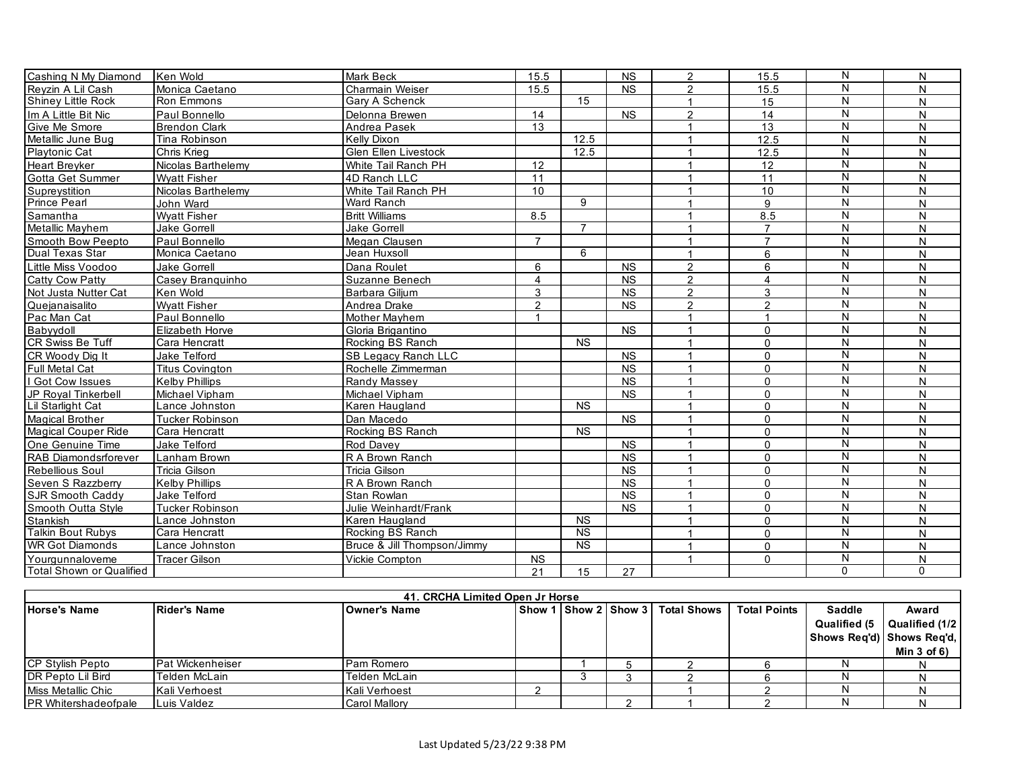| Cashing N My Diamond       | Ken Wold               | <b>Mark Beck</b>            | 15.5                 |                        | <b>NS</b>              | $\overline{2}$          | 15.5            | N                       | N        |
|----------------------------|------------------------|-----------------------------|----------------------|------------------------|------------------------|-------------------------|-----------------|-------------------------|----------|
| Revzin A Lil Cash          | Monica Caetano         | Charmain Weiser             | 15.5                 |                        | <b>NS</b>              | $\overline{2}$          | 15.5            | N                       | N        |
| Shiney Little Rock         | Ron Emmons             | Gary A Schenck              |                      | $\overline{15}$        |                        | $\overline{1}$          | 15              | N                       | N        |
| Im A Little Bit Nic        | Paul Bonnello          | Delonna Brewen              | 14                   |                        | $\overline{\text{NS}}$ | $\overline{2}$          | $\overline{14}$ | N                       | N        |
| Give Me Smore              | <b>Brendon Clark</b>   | Andrea Pasek                | 13                   |                        |                        | 1                       | 13              | N                       | N        |
| Metallic June Bug          | Tina Robinson          | Kelly Dixon                 |                      | 12.5                   |                        | $\mathbf 1$             | 12.5            | N                       | N        |
| <b>Playtonic Cat</b>       | Chris Krieg            | Glen Ellen Livestock        |                      | 12.5                   |                        | 1                       | 12.5            | N                       | N        |
| <b>Heart Brevker</b>       | Nicolas Barthelemy     | White Tail Ranch PH         | 12                   |                        |                        | 1                       | 12              | N                       | N        |
| Gotta Get Summer           | <b>Wvatt Fisher</b>    | 4D Ranch LLC                | 11                   |                        |                        | $\mathbf{1}$            | 11              | $\overline{N}$          | N        |
| Supreystition              | Nicolas Barthelemy     | White Tail Ranch PH         | 10                   |                        |                        | 1                       | 10              | N                       | N        |
| <b>Prince Pearl</b>        | John Ward              | Ward Ranch                  |                      | 9                      |                        | 1                       | 9               | N                       | N        |
| Samantha                   | <b>Wyatt Fisher</b>    | <b>Britt Williams</b>       | 8.5                  |                        |                        | $\mathbf{1}$            | 8.5             | $\overline{N}$          | N        |
| Metallic Mayhem            | <b>Jake Gorrell</b>    | <b>Jake Gorrell</b>         |                      | $\overline{7}$         |                        | $\overline{1}$          | $\overline{7}$  | N                       | N        |
| Smooth Bow Peepto          | Paul Bonnello          | Megan Clausen               | $\overline{7}$       |                        |                        | $\overline{1}$          | $\overline{7}$  | N                       | N        |
| Dual Texas Star            | Monica Caetano         | Jean Huxsoll                |                      | 6                      |                        | 1                       | 6               | N                       | N        |
| Little Miss Voodoo         | Jake Gorrell           | Dana Roulet                 | 6                    |                        | <b>NS</b>              | $\mathfrak{p}$          | 6               | N                       | N        |
| <b>Catty Cow Patty</b>     | Casev Branguinho       | Suzanne Benech              | $\overline{4}$       |                        | <b>NS</b>              | $\overline{2}$          | $\overline{4}$  | N                       | N        |
| Not Justa Nutter Cat       | Ken Wold               | Barbara Giljum              | 3                    |                        | <b>NS</b>              | $\overline{2}$          | 3               | N                       | N        |
| Quejanaisalito             | <b>Wyatt Fisher</b>    | Andrea Drake                | $\overline{2}$       |                        | <b>NS</b>              | $\overline{2}$          | 2               | N                       | N        |
| Pac Man Cat                | Paul Bonnello          | Mother Mayhem               | $\blacktriangleleft$ |                        |                        | $\mathbf{1}$            | $\mathbf{1}$    | ${\sf N}$               | N        |
| Babyydoll                  | Elizabeth Horve        | Gloria Brigantino           |                      |                        | <b>NS</b>              | $\overline{1}$          | $\mathbf{0}$    | N                       | N        |
| CR Swiss Be Tuff           | Cara Hencratt          | Rocking BS Ranch            |                      | <b>NS</b>              |                        | $\mathbf{1}$            | $\mathbf 0$     | N                       | N        |
| CR Woody Dia It            | Jake Telford           | <b>SB Legacy Ranch LLC</b>  |                      |                        | <b>NS</b>              | 1                       | $\Omega$        | $\overline{\mathsf{N}}$ | N        |
| Full Metal Cat             | <b>Titus Covington</b> | Rochelle Zimmerman          |                      |                        | <b>NS</b>              | $\overline{1}$          | $\mathbf{0}$    | N                       | N        |
| Got Cow Issues             | <b>Kelby Phillips</b>  | Randy Massey                |                      |                        | <b>NS</b>              | $\overline{1}$          | $\mathbf{0}$    | $\overline{N}$          | N        |
| JP Royal Tinkerbell        | Michael Vipham         | Michael Vipham              |                      |                        | <b>NS</b>              | $\overline{1}$          | $\mathbf{0}$    | N                       | N        |
| Lil Starlight Cat          | Lance Johnston         | Karen Haugland              |                      | <b>NS</b>              |                        | $\mathbf 1$             | $\mathbf 0$     | N                       | N        |
| <b>Magical Brother</b>     | <b>Tucker Robinson</b> | Dan Macedo                  |                      |                        | <b>NS</b>              | 1                       | $\mathbf{0}$    | N                       | N        |
| <b>Magical Couper Ride</b> | Cara Hencratt          | Rocking BS Ranch            |                      | <b>NS</b>              |                        | $\overline{1}$          | $\mathbf{0}$    | N                       | N        |
| One Genuine Time           | Jake Telford           | Rod Davey                   |                      |                        | <b>NS</b>              | $\mathbf{1}$            | $\mathbf{0}$    | $\overline{N}$          | N        |
| RAB Diamondsrforever       | Lanham Brown           | R A Brown Ranch             |                      |                        | <b>NS</b>              | $\mathbf 1$             | $\mathbf{0}$    | N                       | N        |
| Rebellious Soul            | <b>Tricia Gilson</b>   | Tricia Gilson               |                      |                        | <b>NS</b>              | $\mathbf{1}$            | $\Omega$        | N                       | N        |
| Seven S Razzberry          | <b>Kelby Phillips</b>  | R A Brown Ranch             |                      |                        | <b>NS</b>              | $\mathbf{1}$            | $\mathbf 0$     | ${\sf N}$               | N        |
| <b>SJR Smooth Caddv</b>    | Jake Telford           | Stan Rowlan                 |                      |                        | <b>NS</b>              | $\overline{1}$          | $\mathbf{0}$    | $\overline{N}$          | N        |
| Smooth Outta Style         | <b>Tucker Robinson</b> | Julie Weinhardt/Frank       |                      |                        | <b>NS</b>              | $\mathbf{1}$            | $\mathbf{0}$    | $\overline{N}$          | N        |
| Stankish                   | Lance Johnston         | Karen Haugland              |                      | <b>NS</b>              |                        | 1                       | $\mathbf 0$     | ${\sf N}$               | N        |
| Talkin Bout Rubys          | Cara Hencratt          | Rocking BS Ranch            |                      | $\overline{\text{NS}}$ |                        | $\overline{\mathbf{1}}$ | $\mathbf 0$     | N                       | N        |
| <b>WR Got Diamonds</b>     | Lance Johnston         | Bruce & Jill Thompson/Jimmy |                      | <b>NS</b>              |                        | $\mathbf{1}$            | $\mathbf 0$     | $\overline{\mathsf{N}}$ | N        |
| Yourgunnaloveme            | <b>Tracer Gilson</b>   | Vickie Compton              | <b>NS</b>            |                        |                        | 1                       | $\mathbf{0}$    | N                       | N        |
| Total Shown or Qualified   |                        |                             | 21                   | 15                     | 27                     |                         |                 | $\mathbf{0}$            | $\Omega$ |
|                            |                        |                             |                      |                        |                        |                         |                 |                         |          |

|                             | 41. CRCHA Limited Open Jr Horse |                      |  |                          |  |                    |                     |               |                           |  |  |  |
|-----------------------------|---------------------------------|----------------------|--|--------------------------|--|--------------------|---------------------|---------------|---------------------------|--|--|--|
| <b>Horse's Name</b>         | <b>Rider's Name</b>             | <b>IOwner's Name</b> |  | Show 1   Show 2   Show 3 |  | <b>Total Shows</b> | <b>Total Points</b> | <b>Saddle</b> | Award                     |  |  |  |
|                             |                                 |                      |  |                          |  |                    |                     | Qualified (5  | Qualified (1/2            |  |  |  |
|                             |                                 |                      |  |                          |  |                    |                     |               | Shows Reg'd) Shows Reg'd, |  |  |  |
|                             |                                 |                      |  |                          |  |                    |                     |               | Min $3$ of $6$ )          |  |  |  |
| <b>CP Stylish Pepto</b>     | <b>Pat Wickenheiser</b>         | Pam Romero           |  |                          |  |                    |                     |               |                           |  |  |  |
| DR Pepto Lil Bird           | Telden McLain                   | Telden McLain        |  |                          |  |                    |                     |               |                           |  |  |  |
| Miss Metallic Chic          | Kali Verhoest                   | Kali Verhoest        |  |                          |  |                    |                     |               |                           |  |  |  |
| <b>PR Whitershadeofpale</b> | Luis Valdez                     | Carol Mallory        |  |                          |  |                    |                     |               |                           |  |  |  |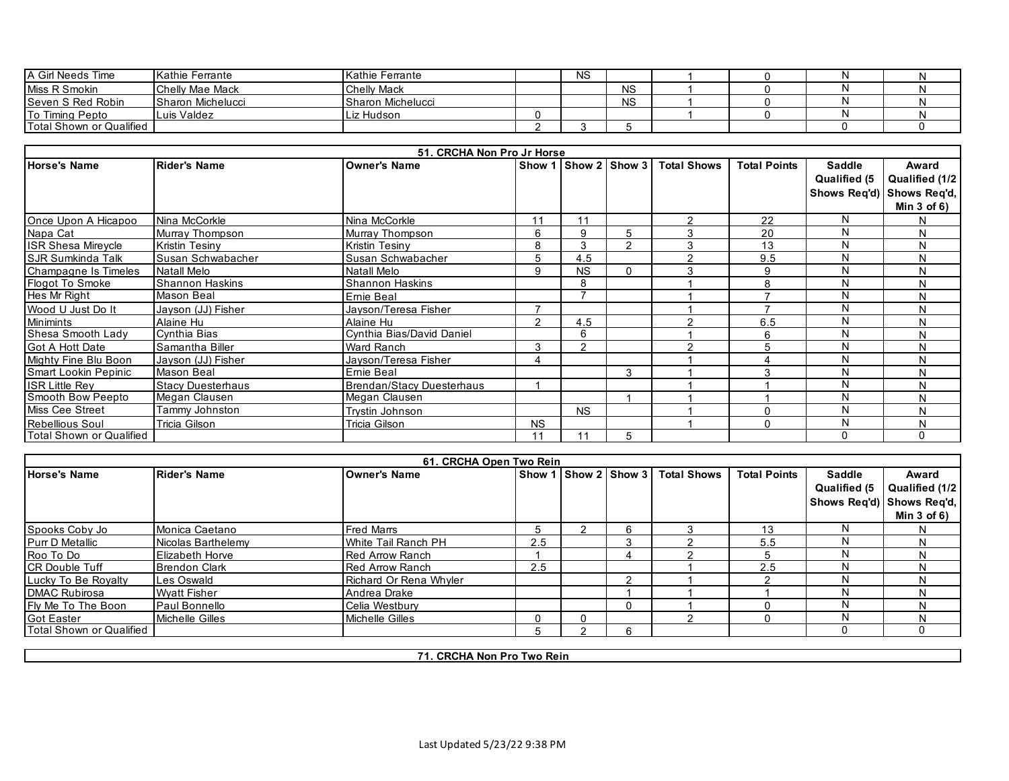| <b>A Girl Needs Time</b> | <b>IKathie Ferrante</b> | Kathie Ferrante          | <b>NS</b> |           |  |  |
|--------------------------|-------------------------|--------------------------|-----------|-----------|--|--|
| Miss R Smokin            | <b>Chelly Mae Mack</b>  | <b>Chelly Mack</b>       |           | <b>NS</b> |  |  |
| Seven S Red Robin        | Sharon Michelucci       | <b>Sharon Michelucci</b> |           | <b>NS</b> |  |  |
| To Timing Pepto          | Luis Valdez             | Liz Hudson               |           |           |  |  |
| Total Shown or Qualified |                         |                          |           |           |  |  |

|                            |                          | 51. CRCHA Non Pro Jr Horse       |           |           |                      |                    |                     |                               |                                                                          |
|----------------------------|--------------------------|----------------------------------|-----------|-----------|----------------------|--------------------|---------------------|-------------------------------|--------------------------------------------------------------------------|
| <b>Horse's Name</b>        | <b>Rider's Name</b>      | <b>Owner's Name</b>              |           |           | Show 1 Show 2 Show 3 | <b>Total Shows</b> | <b>Total Points</b> | <b>Saddle</b><br>Qualified (5 | Award<br>Qualified (1/2<br>Shows Req'd) Shows Req'd,<br>Min $3$ of $6$ ) |
| Once Upon A Hicapoo        | Nina McCorkle            | Nina McCorkle                    | 11        | 11        |                      | $\mathcal{P}$      | 22                  | N                             | N                                                                        |
| Napa Cat                   | Murray Thompson          | Murray Thompson                  | 6         | 9         | 5                    | 3                  | 20                  | N                             | N                                                                        |
| <b>ISR Shesa Mirevcle</b>  | <b>Kristin Tesiny</b>    | Kristin Tesiny                   | 8         | 3         | $\mathcal{P}$        |                    | 13                  | N                             | N                                                                        |
| <b>I</b> SJR Sumkinda Talk | Susan Schwabacher        | Susan Schwabacher                | 5         | 4.5       |                      | ົ                  | 9.5                 | N                             | N                                                                        |
| Champagne Is Timeles       | <b>Natall Melo</b>       | <b>Natall Melo</b>               | 9         | <b>NS</b> | 0                    |                    | 9                   | N                             | N                                                                        |
| Flogot To Smoke            | <b>Shannon Haskins</b>   | <b>Shannon Haskins</b>           |           | 8         |                      |                    | 8                   | N                             | N                                                                        |
| Hes Mr Right               | Mason Beal               | Emie Beal                        |           |           |                      |                    |                     | N                             | N                                                                        |
| Wood U Just Do It          | Jayson (JJ) Fisher       | Jayson/Teresa Fisher             |           |           |                      |                    |                     | N                             | N                                                                        |
| <b>Minimints</b>           | Alaine Hu                | Alaine Hu                        | C.        | 4.5       |                      | $\sim$             | 6.5                 | N                             | N                                                                        |
| Shesa Smooth Lady          | Cynthia Bias             | Cynthia Bias/David Daniel        |           | 6         |                      |                    | 6                   | N                             | N                                                                        |
| <b>Got A Hott Date</b>     | Samantha Biller          | <b>Ward Ranch</b>                | 3         | っ         |                      | $\sim$             |                     | N                             | N                                                                        |
| Mighty Fine Blu Boon       | Jayson (JJ) Fisher       | Jayson/Teresa Fisher             | 4         |           |                      |                    | Δ                   | N                             | N                                                                        |
| Smart Lookin Pepinic       | Mason Beal               | Ernie Beal                       |           |           | 3                    |                    | 3                   | N                             | N                                                                        |
| <b>ISR Little Rev</b>      | <b>Stacy Duesterhaus</b> | <b>Brendan/Stacy Duesterhaus</b> |           |           |                      |                    |                     | N                             | N                                                                        |
| Smooth Bow Peepto          | Megan Clausen            | Megan Clausen                    |           |           |                      |                    |                     | N                             | N                                                                        |
| <b>Miss Cee Street</b>     | Tammy Johnston           | Trystin Johnson                  |           | <b>NS</b> |                      |                    |                     | N                             | N                                                                        |
| <b>Rebellious Soul</b>     | Tricia Gilson            | Tricia Gilson                    | <b>NS</b> |           |                      |                    | U                   | N                             | N                                                                        |
| Total Shown or Qualified   |                          |                                  | 11        |           | 5                    |                    |                     | $\Omega$                      | 0                                                                        |

|                            |                        | 61. CRCHA Open Two Rein |     |                      |          |                    |                     |               |                           |
|----------------------------|------------------------|-------------------------|-----|----------------------|----------|--------------------|---------------------|---------------|---------------------------|
| <b>Horse's Name</b>        | <b>Rider's Name</b>    | <b>Owner's Name</b>     |     | Show 1 Show 2 Show 3 |          | <b>Total Shows</b> | <b>Total Points</b> | <b>Saddle</b> | Award                     |
|                            |                        |                         |     |                      |          |                    |                     | Qualified (5  | Qualified (1/2            |
|                            |                        |                         |     |                      |          |                    |                     |               | Shows Reg'd) Shows Reg'd, |
|                            |                        |                         |     |                      |          |                    |                     |               | Min $3$ of $6$ )          |
| Spooks Coby Jo             | Monica Caetano         | <b>Fred Marrs</b>       |     |                      | ี        |                    | 13                  | N             |                           |
| <b>Purr D Metallic</b>     | Nicolas Barthelemy     | White Tail Ranch PH     | 2.5 |                      |          |                    | 5.5                 | N             |                           |
| Roo To Do                  | <b>Elizabeth Horve</b> | <b>Red Arrow Ranch</b>  |     |                      |          |                    |                     | N             |                           |
| <b>ICR Double Tuff</b>     | <b>Brendon Clark</b>   | <b>Red Arrow Ranch</b>  | 2.5 |                      |          |                    | 2.5                 | N             |                           |
| Lucky To Be Rovalty        | Les Oswald             | Richard Or Rena Whyler  |     |                      |          |                    |                     | N             | N                         |
| <b>IDMAC Rubirosa</b>      | <b>Wyatt Fisher</b>    | Andrea Drake            |     |                      |          |                    |                     | N             | N                         |
| <b>IFIv Me To The Boon</b> | Paul Bonnello          | Celia Westbury          |     |                      | $^{(1)}$ |                    |                     | N             |                           |
| <b>Got Easter</b>          | Michelle Gilles        | Michelle Gilles         |     |                      |          |                    |                     | N             | N                         |
| Total Shown or Qualified   |                        |                         |     |                      | 6        |                    |                     |               | O                         |

**71. CRCHA Non Pro Two Rein**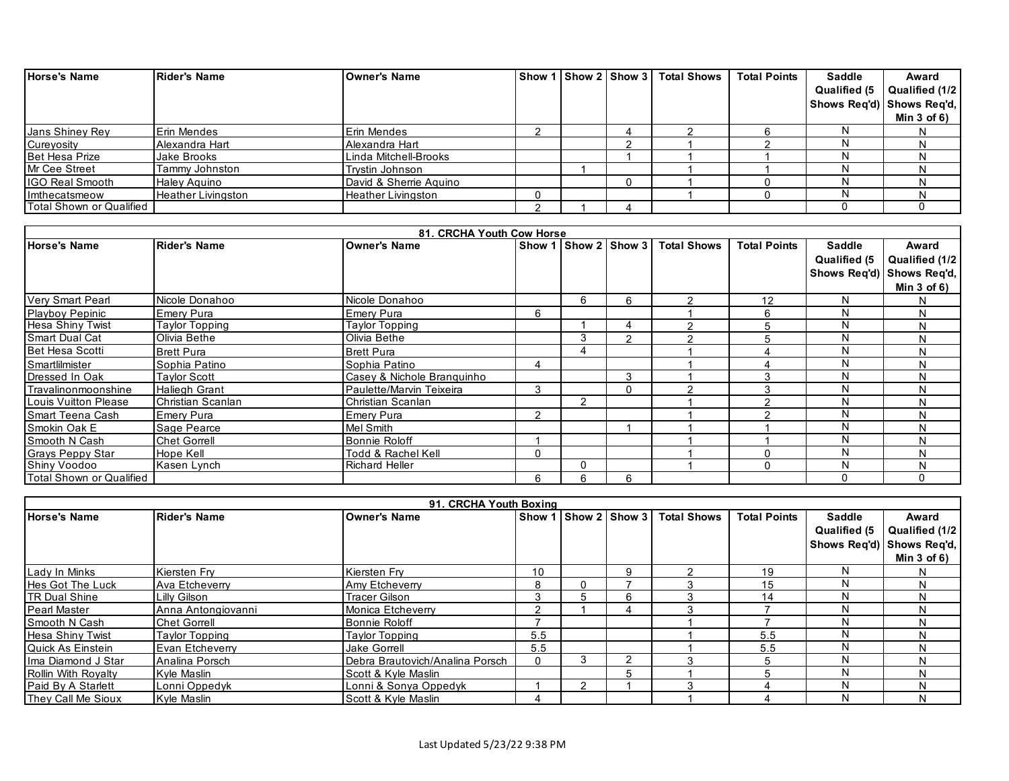| <b>Horse's Name</b>      | Rider's Name              | <b>Owner's Name</b>       |  |   | Show 1 Show 2 Show 3 Total Shows | <b>Total Points</b> | <b>Saddle</b>             | Award            |
|--------------------------|---------------------------|---------------------------|--|---|----------------------------------|---------------------|---------------------------|------------------|
|                          |                           |                           |  |   |                                  |                     | Qualified (5              | Qualified (1/2   |
|                          |                           |                           |  |   |                                  |                     | Shows Reg'd) Shows Reg'd, |                  |
|                          |                           |                           |  |   |                                  |                     |                           | Min $3$ of $6$ ) |
| <b>Jans Shiney Rey</b>   | <b>Erin Mendes</b>        | Erin Mendes               |  | 4 |                                  |                     |                           |                  |
| Cureyosity               | Alexandra Hart            | Alexandra Hart            |  |   |                                  |                     |                           |                  |
| <b>Bet Hesa Prize</b>    | Jake Brooks               | Linda Mitchell-Brooks     |  |   |                                  |                     |                           |                  |
| Mr Cee Street            | Tammy Johnston            | Trystin Johnson           |  |   |                                  |                     |                           |                  |
| <b>IGO Real Smooth</b>   | <b>Haley Aguino</b>       | David & Sherrie Aguino    |  | O |                                  |                     |                           |                  |
| <b>Imthecatsmeow</b>     | <b>Heather Livingston</b> | <b>Heather Livingston</b> |  |   |                                  |                     |                           |                  |
| Total Shown or Qualified |                           |                           |  |   |                                  |                     |                           |                  |

|                          |                       | 81. CRCHA Youth Cow Horse  |               |                |   |                                  |                     |               |                           |
|--------------------------|-----------------------|----------------------------|---------------|----------------|---|----------------------------------|---------------------|---------------|---------------------------|
| <b>Horse's Name</b>      | <b>Rider's Name</b>   | <b>Owner's Name</b>        |               |                |   | Show 1 Show 2 Show 3 Total Shows | <b>Total Points</b> | <b>Saddle</b> | Award                     |
|                          |                       |                            |               |                |   |                                  |                     | Qualified (5) | Qualified (1/2            |
|                          |                       |                            |               |                |   |                                  |                     |               | Shows Req'd) Shows Req'd, |
|                          |                       |                            |               |                |   |                                  |                     |               | Min $3$ of $6)$           |
| Very Smart Pearl         | Nicole Donahoo        | Nicole Donahoo             |               | 6              | 6 |                                  | 12                  |               | N.                        |
| <b>Playboy Pepinic</b>   | Emery Pura            | Emery Pura                 | 6             |                |   |                                  | 6                   |               | N                         |
| <b>Hesa Shiny Twist</b>  | <b>Taylor Topping</b> | Taylor Topping             |               |                | 4 |                                  |                     | N             | N                         |
| <b>Smart Dual Cat</b>    | Olivia Bethe          | Olivia Bethe               |               | 3              | 2 |                                  |                     |               | N                         |
| <b>Bet Hesa Scotti</b>   | <b>Brett Pura</b>     | <b>Brett Pura</b>          |               | 4              |   |                                  |                     |               | N                         |
| Smartlilmister           | Sophia Patino         | Sophia Patino              | 4             |                |   |                                  |                     |               | N                         |
| Dressed In Oak           | <b>Taylor Scott</b>   | Casey & Nichole Branguinho |               |                | 3 |                                  |                     |               | N                         |
| l Travalinonmoonshine    | <b>Haliegh Grant</b>  | Paulette/Marvin Teixeira   | 3             |                | 0 |                                  |                     |               | N                         |
| Louis Vuitton Please     | Christian Scanlan     | Christian Scanlan          |               | $\overline{2}$ |   |                                  |                     |               | N                         |
| Smart Teena Cash         | Emery Pura            | Emery Pura                 | $\mathcal{D}$ |                |   |                                  |                     |               | N                         |
| ISmokin Oak E            | Sage Pearce           | Mel Smith                  |               |                |   |                                  |                     |               | N                         |
| Smooth N Cash            | <b>Chet Gorrell</b>   | Bonnie Roloff              |               |                |   |                                  |                     |               | N                         |
| <b>Grays Peppy Star</b>  | Hope Kell             | Todd & Rachel Kell         | 0             |                |   |                                  |                     |               | N                         |
| Shiny Voodoo             | Kasen Lynch           | <b>Richard Heller</b>      |               | 0              |   |                                  |                     |               | N                         |
| Total Shown or Qualified |                       |                            | 6             | 6              | 6 |                                  |                     | 0             |                           |

|                           |                     | 91. CRCHA Youth Boxing          |        |               |   |                    |                     |               |                           |
|---------------------------|---------------------|---------------------------------|--------|---------------|---|--------------------|---------------------|---------------|---------------------------|
| Horse's Name              | Rider's Name        | <b>Owner's Name</b>             | Show 1 | Show 2 Show 3 |   | <b>Total Shows</b> | <b>Total Points</b> | <b>Saddle</b> | Award                     |
|                           |                     |                                 |        |               |   |                    |                     | Qualified (5  | Qualified (1/2            |
|                           |                     |                                 |        |               |   |                    |                     |               | Shows Reg'd) Shows Reg'd, |
|                           |                     |                                 |        |               |   |                    |                     |               | Min $3$ of $6$ )          |
| Lady In Minks             | Kiersten Frv        | Kiersten Fry                    | 10     |               | я |                    | 19                  | N             |                           |
| <b>Hes Got The Luck</b>   | Ava Etcheverry      | Amy Etcheverry                  |        |               |   |                    | 15                  | N             |                           |
| <b>TR Dual Shine</b>      | Lilly Gilson        | <b>Tracer Gilson</b>            |        |               | 6 |                    | 14                  | N             |                           |
| <b>Pearl Master</b>       | Anna Antongiovanni  | Monica Etcheverry               |        |               |   |                    |                     | N             |                           |
| Smooth N Cash             | <b>Chet Gorrell</b> | Bonnie Roloff                   |        |               |   |                    |                     | N             |                           |
| Hesa Shiny Twist          | Taylor Topping      | <b>Taylor Topping</b>           | 5.5    |               |   |                    | 5.5                 | N             |                           |
| Quick As Einstein         | Evan Etcheverry     | <b>Jake Gorrell</b>             | 5.5    |               |   |                    | 5.5                 | N             |                           |
| Ilma Diamond J Star       | Analina Porsch      | Debra Brautovich/Analina Porsch |        |               |   |                    |                     | N             |                           |
| Rollin With Royalty       | Kvle Maslin         | <b>Scott &amp; Kyle Maslin</b>  |        |               | h |                    |                     | N             |                           |
| Paid By A Starlett        | Lonni Oppedyk       | Lonni & Sonya Oppedyk           |        |               |   |                    |                     | N             |                           |
| <b>They Call Me Sioux</b> | Kyle Maslin         | Scott & Kyle Maslin             |        |               |   |                    |                     | N             |                           |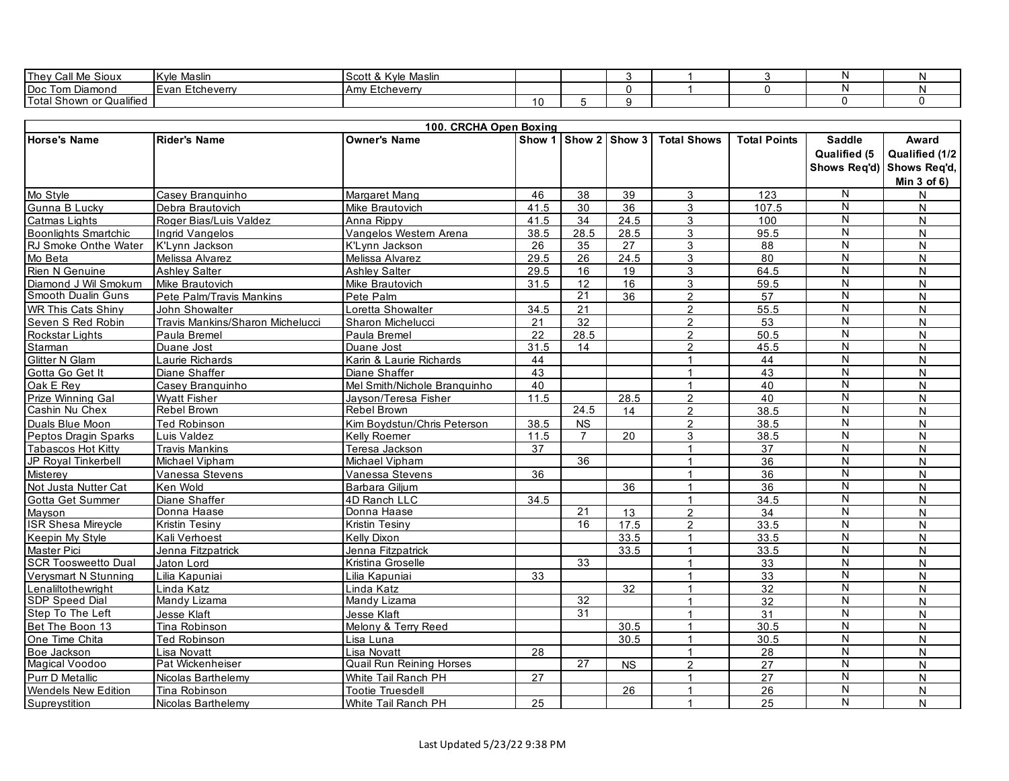| Call Me Sioux<br>Thev                        | Maslin<br><b>IKvle</b> | ∗ Maslir<br>scott '<br>۱٬۱۵<br>- 63 |  |  |  |  |
|----------------------------------------------|------------------------|-------------------------------------|--|--|--|--|
| I Doc<br>Tom Diamond                         | I Evan Etcheverry      | ∟tcheverrv<br>⊥Amv∴                 |  |  |  |  |
| <br>Total Shown or<br><sup>.</sup> Qualified |                        |                                     |  |  |  |  |

|                             |                                  | 100. CRCHA Open Boxing          |      |                 |                      |                      |                     |                         |                  |
|-----------------------------|----------------------------------|---------------------------------|------|-----------------|----------------------|----------------------|---------------------|-------------------------|------------------|
| <b>Horse's Name</b>         | <b>Rider's Name</b>              | <b>Owner's Name</b>             |      |                 | Show 1 Show 2 Show 3 | <b>Total Shows</b>   | <b>Total Points</b> | <b>Saddle</b>           | Award            |
|                             |                                  |                                 |      |                 |                      |                      |                     | <b>Qualified (5</b>     | Qualified (1/2   |
|                             |                                  |                                 |      |                 |                      |                      |                     | Shows Reg'd)            | Shows Req'd,     |
|                             |                                  |                                 |      |                 |                      |                      |                     |                         | Min $3$ of $6$ ) |
| Mo Style                    | Casev Branguinho                 | Margaret Mang                   | 46   | 38              | 39                   | 3                    | 123                 | N                       | $\mathsf{N}$     |
| Gunna B Lucky               | Debra Brautovich                 | Mike Brautovich                 | 41.5 | 30              | 36                   | 3                    | 107.5               | N                       | N                |
| <b>Catmas Lights</b>        | Roger Bias/Luis Valdez           | Anna Rippy                      | 41.5 | 34              | 24.5                 | 3                    | 100                 | $\mathsf{N}$            | N                |
| <b>Boonlights Smartchic</b> | Ingrid Vangelos                  | Vangelos Western Arena          | 38.5 | 28.5            | 28.5                 | 3                    | 95.5                | ${\sf N}$               | N                |
| RJ Smoke Onthe Water        | K'Lvnn Jackson                   | K'Lynn Jackson                  | 26   | 35              | 27                   | 3                    | 88                  | N                       | N                |
| Mo Beta                     | Melissa Alvarez                  | Melissa Alvarez                 | 29.5 | 26              | 24.5                 | 3                    | 80                  | $\mathsf{N}$            | $\mathsf{N}$     |
| <b>Rien N Genuine</b>       | <b>Ashley Salter</b>             | <b>Ashlev Salter</b>            | 29.5 | 16              | 19                   | 3                    | 64.5                | N                       | N                |
| Diamond J Wil Smokum        | Mike Brautovich                  | Mike Brautovich                 | 31.5 | $\overline{12}$ | 16                   | 3                    | 59.5                | $\mathsf{N}$            | N                |
| Smooth Dualin Guns          | Pete Palm/Travis Mankins         | Pete Palm                       |      | $\overline{21}$ | 36                   | $\overline{2}$       | 57                  | $\overline{N}$          | N                |
| <b>WR This Cats Shiny</b>   | John Showalter                   | Loretta Showalter               | 34.5 | 21              |                      | $\overline{2}$       | 55.5                | ${\sf N}$               | N                |
| Seven S Red Robin           | Travis Mankins/Sharon Michelucci | Sharon Michelucci               | 21   | 32              |                      | $\overline{2}$       | 53                  | $\overline{\mathsf{N}}$ | N                |
| <b>Rockstar Lights</b>      | Paula Bremel                     | Paula Bremel                    | 22   | 28.5            |                      | $\overline{2}$       | 50.5                | N                       | N                |
| Starman                     | Duane Jost                       | Duane Jost                      | 31.5 | 14              |                      | $\overline{2}$       | 45.5                | N                       | N                |
| Glitter N Glam              | Laurie Richards                  | Karin & Laurie Richards         | 44   |                 |                      | $\mathbf{1}$         | 44                  | $\overline{\mathsf{N}}$ | N                |
| Gotta Go Get It             | Diane Shaffer                    | Diane Shaffer                   | 43   |                 |                      | $\mathbf 1$          | 43                  | ${\sf N}$               | N                |
| Oak E Rey                   | Casey Branquinho                 | Mel Smith/Nichole Branquinho    | 40   |                 |                      | $\blacktriangleleft$ | 40                  | $\overline{\mathsf{N}}$ | N                |
| Prize Winning Gal           | <b>Wyatt Fisher</b>              | Jayson/Teresa Fisher            | 11.5 |                 | 28.5                 | $\overline{c}$       | 40                  | N                       | N                |
| Cashin Nu Chex              | Rebel Brown                      | Rebel Brown                     |      | 24.5            | 14                   | $\mathcal{P}$        | 38.5                | $\overline{\mathsf{N}}$ | N                |
| Duals Blue Moon             | <b>Ted Robinson</b>              | Kim Bovdstun/Chris Peterson     | 38.5 | <b>NS</b>       |                      | $\overline{2}$       | 38.5                | N                       | N                |
| Peptos Dragin Sparks        | Luis Valdez                      | Kelly Roemer                    | 11.5 | $\overline{7}$  | 20                   | 3                    | 38.5                | N                       | N                |
| Tabascos Hot Kitty          | <b>Travis Mankins</b>            | Teresa Jackson                  | 37   |                 |                      | $\mathbf{1}$         | 37                  | N                       | N                |
| JP Royal Tinkerbell         | Michael Vipham                   | Michael Vipham                  |      | 36              |                      | $\mathbf{1}$         | 36                  | N                       | N                |
| <b>Misterey</b>             | Vanessa Stevens                  | Vanessa Stevens                 | 36   |                 |                      | $\mathbf 1$          | 36                  | $\overline{\mathsf{N}}$ | N                |
| Not Justa Nutter Cat        | Ken Wold                         | Barbara Giljum                  |      |                 | 36                   | $\mathbf{1}$         | 36                  | N                       | N                |
| Gotta Get Summer            | Diane Shaffer                    | 4D Ranch LLC                    | 34.5 |                 |                      | $\mathbf{1}$         | 34.5                | $\mathsf{N}$            | N                |
| Mayson                      | Donna Haase                      | Donna Haase                     |      | $\overline{21}$ | 13                   | $\overline{2}$       | 34                  | $\mathsf{N}$            | N                |
| <b>ISR Shesa Mireycle</b>   | <b>Kristin Tesiny</b>            | Kristin Tesiny                  |      | 16              | 17.5                 | $\mathfrak{p}$       | 33.5                | N                       | N                |
| Keepin My Style             | Kali Verhoest                    | Kelly Dixon                     |      |                 | 33.5                 | 1                    | 33.5                | N                       | N                |
| <b>Master Pici</b>          | Jenna Fitzpatrick                | Jenna Fitzpatrick               |      |                 | 33.5                 | $\mathbf{1}$         | 33.5                | N                       | N                |
| <b>SCR Toosweetto Dual</b>  | Jaton Lord                       | Kristina Groselle               |      | 33              |                      | $\mathbf 1$          | 33                  | N                       | N                |
| Verysmart N Stunning        | Lilia Kapuniai                   | Lilia Kapuniai                  | 33   |                 |                      | $\overline{1}$       | 33                  | N                       | N                |
| Lenaliltothewright          | inda Katz                        | Linda Katz                      |      |                 | 32                   | $\mathbf{1}$         | $\overline{32}$     | $\mathsf{N}$            | N                |
| SDP Speed Dial              | Mandy Lizama                     | Mandy Lizama                    |      | 32              |                      | 1                    | 32                  | N                       | N                |
| Step To The Left            | Jesse Klaft                      | Jesse Klaft                     |      | 31              |                      | $\blacktriangleleft$ | 31                  | N                       | $\mathsf{N}$     |
| Bet The Boon 13             | Tina Robinson                    | Melony & Terry Reed             |      |                 | 30.5                 | $\mathbf 1$          | 30.5                | N                       | N                |
| One Time Chita              | <b>Ted Robinson</b>              | Lisa Luna                       |      |                 | 30.5                 | $\mathbf{1}$         | 30.5                | $\overline{\mathsf{N}}$ | N                |
| Boe Jackson                 | Lisa Novatt                      | Lisa Novatt                     | 28   |                 |                      | $\mathbf{1}$         | $\overline{28}$     | $\overline{\mathsf{N}}$ | N                |
| Magical Voodoo              | Pat Wickenheiser                 | <b>Quail Run Reining Horses</b> |      | 27              | <b>NS</b>            | $\overline{2}$       | 27                  | ${\sf N}$               | N                |
| <b>Purr D Metallic</b>      | Nicolas Barthelemy               | White Tail Ranch PH             | 27   |                 |                      | $\mathbf{1}$         | $\overline{27}$     | $\mathsf{N}$            | N                |
| Wendels New Edition         | Tina Robinson                    | <b>Tootie Truesdell</b>         |      |                 | 26                   | $\blacktriangleleft$ | 26                  | $\mathsf{N}$            | N                |
| Supreystition               | Nicolas Barthelemv               | White Tail Ranch PH             | 25   |                 |                      |                      | 25                  | N                       | N                |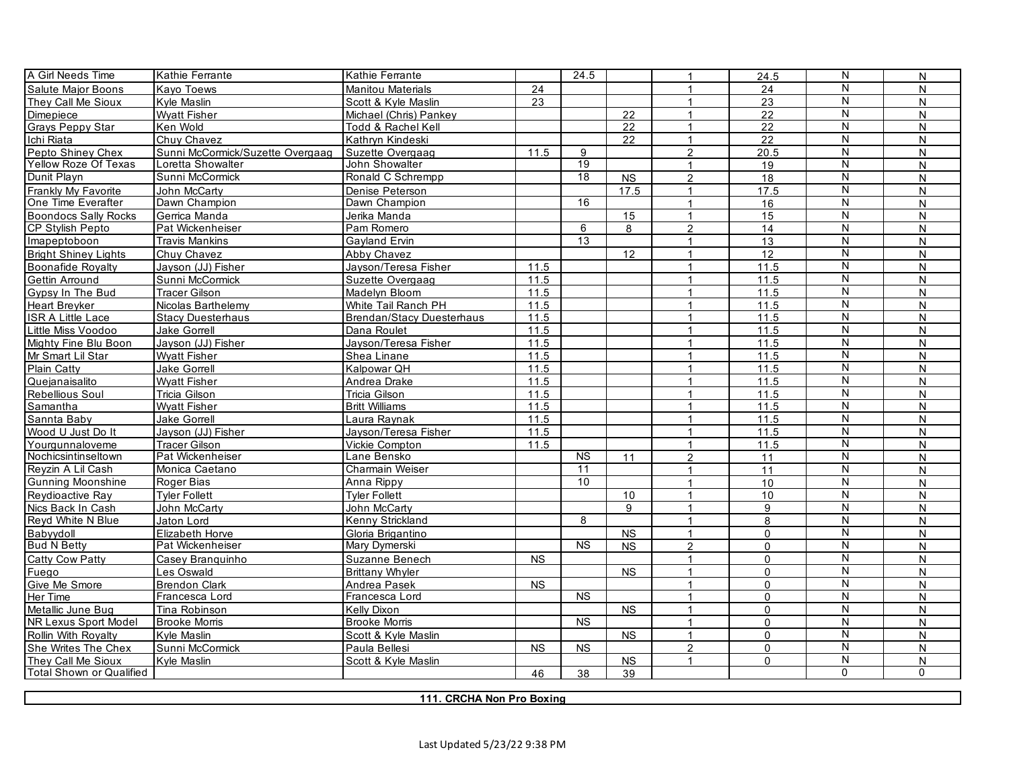| A Girl Needs Time           | Kathie Ferrante                  | Kathie Ferrante                  |           | 24.5            |                        | $\mathbf{1}$         | 24.5            | N                       | N              |
|-----------------------------|----------------------------------|----------------------------------|-----------|-----------------|------------------------|----------------------|-----------------|-------------------------|----------------|
| <b>Salute Maior Boons</b>   | Kavo Toews                       | <b>Manitou Materials</b>         | 24        |                 |                        | $\mathbf{1}$         | 24              | N                       | N              |
| They Call Me Sioux          | Kyle Maslin                      | Scott & Kyle Maslin              | 23        |                 |                        | $\mathbf{1}$         | 23              | N                       | N              |
| Dimepiece                   | <b>Wyatt Fisher</b>              | Michael (Chris) Pankey           |           |                 | $\overline{22}$        | $\mathbf{1}$         | $\overline{22}$ | N                       | N              |
| Grays Peppy Star            | Ken Wold                         | Todd & Rachel Kell               |           |                 | 22                     | $\mathbf{1}$         | $\overline{22}$ | N                       | N              |
| Ichi Riata                  | Chuv Chavez                      | Kathrvn Kindeski                 |           |                 | 22                     | $\mathbf{1}$         | 22              | N                       | N              |
| Pepto Shiney Chex           | Sunni McCormick/Suzette Overgaag | Suzette Overgaag                 | $11.5$    | 9               |                        | $\overline{2}$       | 20.5            | N                       | N              |
| Yellow Roze Of Texas        | Loretta Showalter                | John Showalter                   |           | 19              |                        | 1                    | 19              | N                       | N              |
| Dunit Playn                 | Sunni McCormick                  | Ronald C Schrempp                |           | $\overline{18}$ | <b>NS</b>              | $\overline{2}$       | 18              | $\overline{N}$          | N              |
| Frankly My Favorite         | John McCarty                     | Denise Peterson                  |           |                 | 17.5                   | $\mathbf 1$          | 17.5            | $\overline{N}$          | N              |
| One Time Everafter          | Dawn Champion                    | Dawn Champion                    |           | 16              |                        | $\mathbf{1}$         | 16              | $\overline{\mathsf{N}}$ | N              |
| <b>Boondocs Sally Rocks</b> | Gerrica Manda                    | Jerika Manda                     |           |                 | 15                     | $\mathbf{1}$         | 15              | N                       | N              |
| <b>CP Stylish Pepto</b>     | Pat Wickenheiser                 | Pam Romero                       |           | $\overline{6}$  | 8                      | $\overline{2}$       | 14              | ${\sf N}$               | N              |
| Imapeptoboon                | Travis Mankins                   | Gayland Ervin                    |           | 13              |                        | $\mathbf{1}$         | 13              | N                       | N              |
| <b>Bright Shiney Lights</b> | Chuv Chavez                      | <b>Abby Chavez</b>               |           |                 | 12                     | $\mathbf{1}$         | 12              | N                       | N              |
| <b>Boonafide Rovalty</b>    | Javson (JJ) Fisher               | Jayson/Teresa Fisher             | 11.5      |                 |                        | $\mathbf{1}$         | 11.5            | N                       | N              |
| Gettin Arround              | Sunni McCormick                  | Suzette Overgaag                 | 11.5      |                 |                        | $\mathbf{1}$         | 11.5            | N                       | N              |
| Gypsy In The Bud            | <b>Tracer Gilson</b>             | Madelyn Bloom                    | 11.5      |                 |                        | $\mathbf{1}$         | 11.5            | N                       | N              |
| Heart Breyker               | Nicolas Barthelemy               | White Tail Ranch PH              | 11.5      |                 |                        | $\mathbf 1$          | 11.5            | N                       | N              |
| <b>ISR A Little Lace</b>    | <b>Stacy Duesterhaus</b>         | <b>Brendan/Stacy Duesterhaus</b> | 11.5      |                 |                        | $\overline{1}$       | 11.5            | N                       | N              |
| Little Miss Voodoo          | Jake Gorrell                     | Dana Roulet                      | 11.5      |                 |                        |                      | 11.5            | $\overline{N}$          | N              |
| Mighty Fine Blu Boon        | Jayson (JJ) Fisher               | Jayson/Teresa Fisher             | 11.5      |                 |                        | $\mathbf{1}$         | 11.5            | ${\sf N}$               | N              |
| Mr Smart Lil Star           | Wvatt Fisher                     | Shea Linane                      | 11.5      |                 |                        | 1                    | 11.5            | $\overline{N}$          | N              |
| <b>Plain Catty</b>          | Jake Gorrell                     | Kalpowar QH                      | 11.5      |                 |                        | $\mathbf{1}$         | 11.5            | $\overline{\mathsf{N}}$ | N              |
| Quejanaisalito              | <b>Wyatt Fisher</b>              | Andrea Drake                     | 11.5      |                 |                        | $\mathbf{1}$         | 11.5            | N                       | N              |
| Rebellious Soul             | Tricia Gilson                    | Tricia Gilson                    | 11.5      |                 |                        | $\mathbf{1}$         | 11.5            | N                       | N              |
| Samantha                    | <b>Wyatt Fisher</b>              | <b>Britt Williams</b>            | 11.5      |                 |                        | $\mathbf{1}$         | 11.5            | ${\sf N}$               | N              |
| Sannta Baby                 | <b>Jake Gorrell</b>              | Laura Ravnak                     | 11.5      |                 |                        | $\mathbf{1}$         | 11.5            | N                       | N              |
| Wood U Just Do It           | Javson (JJ) Fisher               | Javson/Teresa Fisher             | 11.5      |                 |                        | $\mathbf{1}$         | 11.5            | N                       | N              |
| Yourgunnaloveme             | <b>Tracer Gilson</b>             | Vickie Compton                   | 11.5      |                 |                        | $\mathbf{1}$         | 11.5            | $\overline{N}$          | N              |
| Nochicsintinseltown         | Pat Wickenheiser                 | Lane Bensko                      |           | <b>NS</b>       | 11                     | $\overline{2}$       | 11              | N                       | N              |
| Reyzin A Lil Cash           | Monica Caetano                   | Charmain Weiser                  |           | 11              |                        | $\overline{1}$       | 11              | $\overline{N}$          | N              |
| <b>Gunning Moonshine</b>    | Roger Bias                       | Anna Rippy                       |           | 10              |                        | $\overline{1}$       | 10              | N                       | N              |
| Reydioactive Ray            | <b>Tyler Follett</b>             | <b>Tyler Follett</b>             |           |                 | 10 <sup>1</sup>        | 1                    | 10              | $\overline{N}$          | N              |
| Nics Back In Cash           | John McCarty                     | John McCarty                     |           |                 | 9                      | $\mathbf{1}$         | 9               | $\overline{N}$          | N              |
| Reyd White N Blue           | Jaton Lord                       | Kenny Strickland                 |           | 8               |                        | $\mathbf 1$          | 8               | N                       | N              |
| Babvvdoll                   | Elizabeth Horve                  | Gloria Brigantino                |           |                 | <b>NS</b>              | $\mathbf{1}$         | $\mathbf{0}$    | $\overline{N}$          | N              |
| <b>Bud N Betty</b>          | Pat Wickenheiser                 | Mary Dymerski                    |           | <b>NS</b>       | <b>NS</b>              | $\overline{2}$       | $\mathbf{0}$    | N                       | N              |
| <b>Catty Cow Patty</b>      | Casey Branguinho                 | Suzanne Benech                   | <b>NS</b> |                 |                        | $\mathbf{1}$         | $\mathbf{0}$    | N                       | N              |
| Fuego                       | Les Oswald                       | <b>Brittany Whyler</b>           |           |                 | <b>NS</b>              | $\mathbf{1}$         | $\mathbf 0$     | N                       | N              |
| Give Me Smore               | <b>Brendon Clark</b>             | Andrea Pasek                     | <b>NS</b> |                 |                        | $\mathbf{1}$         | $\mathbf{0}$    | N                       | N              |
| Her Time                    | Francesca Lord                   | Francesca Lord                   |           | <b>NS</b>       |                        | $\mathbf{1}$         | $\mathbf 0$     | N                       | N              |
| Metallic June Bug           | Tina Robinson                    | Kelly Dixon                      |           |                 | $\overline{\text{NS}}$ | $\mathbf{1}$         | $\mathbf 0$     | N                       | N              |
| NR Lexus Sport Model        | <b>Brooke Morris</b>             | <b>Brooke Morris</b>             |           | <b>NS</b>       |                        | $\mathbf 1$          | $\mathbf 0$     | N                       | N              |
| Rollin With Royalty         | Kvle Maslin                      | Scott & Kyle Maslin              |           |                 | <b>NS</b>              | $\overline{1}$       | $\mathbf{0}$    | N                       | N              |
| She Writes The Chex         | Sunni McCormick                  | Paula Bellesi                    | <b>NS</b> | $\overline{NS}$ |                        | $\overline{2}$       | $\mathbf 0$     | N                       | N              |
| They Call Me Sioux          | Kyle Maslin                      | Scott & Kyle Maslin              |           |                 | <b>NS</b>              | $\blacktriangleleft$ | $\mathbf 0$     | N                       | N              |
| Total Shown or Qualified    |                                  |                                  | 46        | 38              | 39                     |                      |                 | $\overline{0}$          | $\overline{0}$ |

**111. CRCHA Non Pro Boxing**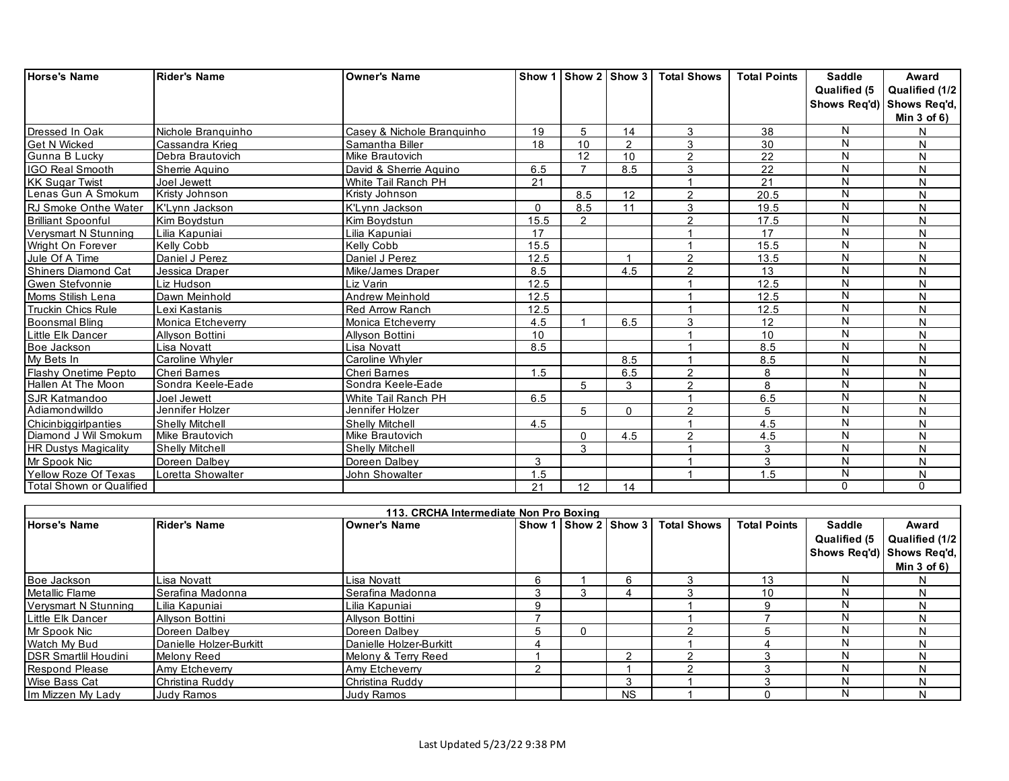| <b>Horse's Name</b>             | <b>Rider's Name</b>    | <b>Owner's Name</b>        |          |                |          | Show 1 Show 2 Show 3 Total Shows | <b>Total Points</b> | Saddle                  | Award                     |
|---------------------------------|------------------------|----------------------------|----------|----------------|----------|----------------------------------|---------------------|-------------------------|---------------------------|
|                                 |                        |                            |          |                |          |                                  |                     | Qualified (5            | Qualified (1/2            |
|                                 |                        |                            |          |                |          |                                  |                     |                         | Shows Req'd) Shows Req'd, |
|                                 |                        |                            |          |                |          |                                  |                     |                         | Min $3$ of $6$ )          |
| Dressed In Oak                  | Nichole Branguinho     | Casey & Nichole Branquinho | 19       | 5              | 14       | 3                                | 38                  | N                       | N                         |
| <b>Get N Wicked</b>             | Cassandra Krieg        | Samantha Biller            | 18       | 10             | 2        | 3                                | 30                  | N                       | N                         |
| Gunna B Lucky                   | Debra Brautovich       | Mike Brautovich            |          | 12             | 10       | 2                                | 22                  | N                       | N                         |
| IGO Real Smooth                 | Sherrie Aquino         | David & Sherrie Aguino     | 6.5      | $\overline{ }$ | 8.5      | 3                                | 22                  | $\mathsf{N}$            | N                         |
| <b>KK Sugar Twist</b>           | Joel Jewett            | White Tail Ranch PH        | 21       |                |          |                                  | 21                  | $\mathsf{N}$            | N                         |
| Lenas Gun A Smokum              | Kristy Johnson         | Kristy Johnson             |          | 8.5            | 12       | $\overline{2}$                   | 20.5                | N                       | N                         |
| RJ Smoke Onthe Water            | K'Lvnn Jackson         | K'Lvnn Jackson             | $\Omega$ | 8.5            | 11       | 3                                | 19.5                | $\mathsf{N}$            | N                         |
| <b>Brilliant Spoonful</b>       | Kim Boydstun           | Kim Boydstun               | 15.5     | 2              |          | $\overline{2}$                   | 17.5                | N                       | N                         |
| Vervsmart N Stunning            | Lilia Kapuniai         | Lilia Kapuniai             | 17       |                |          |                                  | 17                  | N                       | N                         |
| Wright On Forever               | Kelly Cobb             | Kelly Cobb                 | 15.5     |                |          |                                  | 15.5                | $\mathsf{N}$            | N                         |
| Jule Of A Time                  | Daniel J Perez         | Daniel J Perez             | 12.5     |                | -1       | $\overline{2}$                   | 13.5                | N                       | N                         |
| <b>Shiners Diamond Cat</b>      | Jessica Draper         | Mike/James Draper          | 8.5      |                | 4.5      | $\mathcal{P}$                    | 13                  | N                       | N                         |
| Gwen Stefvonnie                 | Liz Hudson             | Liz Varin                  | 12.5     |                |          |                                  | 12.5                | N                       | N                         |
| Moms Stilish Lena               | Dawn Meinhold          | Andrew Meinhold            | 12.5     |                |          |                                  | 12.5                | $\overline{\mathsf{N}}$ | N                         |
| Truckin Chics Rule              | Lexi Kastanis          | <b>Red Arrow Ranch</b>     | 12.5     |                |          |                                  | 12.5                | N                       | N                         |
| <b>Boonsmal Bling</b>           | Monica Etcheverry      | Monica Etcheverry          | 4.5      |                | 6.5      | 3                                | 12                  | $\overline{\mathsf{N}}$ | N                         |
| Little Elk Dancer               | Allyson Bottini        | Allyson Bottini            | 10       |                |          |                                  | 10                  | $\overline{\mathsf{N}}$ | N                         |
| Boe Jackson                     | Lisa Novatt            | Lisa Novatt                | 8.5      |                |          |                                  | 8.5                 | N                       | N                         |
| My Bets In                      | Caroline Whyler        | Caroline Whyler            |          |                | 8.5      |                                  | 8.5                 | $\overline{\mathsf{N}}$ | N                         |
| Flashy Onetime Pepto            | <b>Cheri Barnes</b>    | Cheri Barnes               | 1.5      |                | 6.5      | 2                                | 8                   | N                       | N                         |
| Hallen At The Moon              | Sondra Keele-Eade      | Sondra Keele-Eade          |          | 5              | 3        | $\mathcal{D}$                    | 8                   | $\overline{\mathsf{N}}$ | N                         |
| <b>SJR Katmandoo</b>            | Joel Jewett            | White Tail Ranch PH        | 6.5      |                |          |                                  | 6.5                 | N                       | N                         |
| Adiamondwilldo                  | Jennifer Holzer        | Jennifer Holzer            |          | 5              | $\Omega$ | ◠                                | 5                   | N                       | N                         |
| Chicinbiggirlpanties            | <b>Shelly Mitchell</b> | <b>Shelly Mitchell</b>     | 4.5      |                |          |                                  | 4.5                 | N                       | N                         |
| Diamond J Wil Smokum            | Mike Brautovich        | Mike Brautovich            |          | $\Omega$       | 4.5      | $\overline{2}$                   | 4.5                 | N                       | N                         |
| <b>HR Dustys Magicality</b>     | <b>Shelly Mitchell</b> | <b>Shelly Mitchell</b>     |          | 3              |          |                                  | 3                   | N                       | N                         |
| Mr Spook Nic                    | Doreen Dalbey          | Doreen Dalbey              | 3        |                |          |                                  | 3                   | ${\sf N}$               | N                         |
| Yellow Roze Of Texas            | Loretta Showalter      | John Showalter             | 1.5      |                |          |                                  | 1.5                 | $\mathsf{N}$            | N                         |
| <b>Total Shown or Qualified</b> |                        |                            | 21       | 12             | 14       |                                  |                     | 0                       | $\Omega$                  |

|                              |                         | 113. CRCHA Intermediate Non Pro Boxing |     |              |                      |                    |                     |                               |                                               |
|------------------------------|-------------------------|----------------------------------------|-----|--------------|----------------------|--------------------|---------------------|-------------------------------|-----------------------------------------------|
| <b>Horse's Name</b>          | <b>Rider's Name</b>     | <b>Owner's Name</b>                    |     |              | Show 1 Show 2 Show 3 | <b>Total Shows</b> | <b>Total Points</b> | <b>Saddle</b><br>Qualified (5 | Award<br>Qualified (1/2                       |
|                              |                         |                                        |     |              |                      |                    |                     |                               |                                               |
|                              |                         |                                        |     |              |                      |                    |                     |                               | Shows Req'd) Shows Req'd,<br>Min $3$ of $6$ ) |
| Boe Jackson                  | Lisa Novatt             | Lisa Novatt                            |     |              | 6                    |                    | 13                  | N                             |                                               |
| Metallic Flame               | <b>Serafina Madonna</b> | Serafina Madonna                       |     |              |                      |                    | 10                  | N                             |                                               |
| Vervsmart N Stunning         | Lilia Kapuniai          | Lilia Kapuniai                         | 9   |              |                      |                    |                     |                               |                                               |
| <b>ILittle Elk Dancer</b>    | <b>Allyson Bottini</b>  | Allyson Bottini                        |     |              |                      |                    |                     | N                             |                                               |
| Mr Spook Nic                 | Doreen Dalbey           | Doreen Dalbey                          | 'n. | <sup>0</sup> |                      |                    |                     |                               |                                               |
| Watch My Bud                 | Danielle Holzer-Burkitt | Danielle Holzer-Burkitt                |     |              |                      |                    |                     | N                             |                                               |
| <b>IDSR Smartlil Houdini</b> | Melony Reed             | Melony & Terry Reed                    |     |              | c                    |                    |                     |                               |                                               |
| <b>Respond Please</b>        | Amy Etcheverry          | Amy Etcheverry                         | ⌒   |              |                      |                    |                     | N                             |                                               |
| Wise Bass Cat                | Christina Ruddy         | Christina Ruddy                        |     |              | 3                    |                    |                     | N                             |                                               |
| Im Mizzen My Lady            | Judy Ramos              | <b>Judy Ramos</b>                      |     |              | <b>NS</b>            |                    |                     |                               |                                               |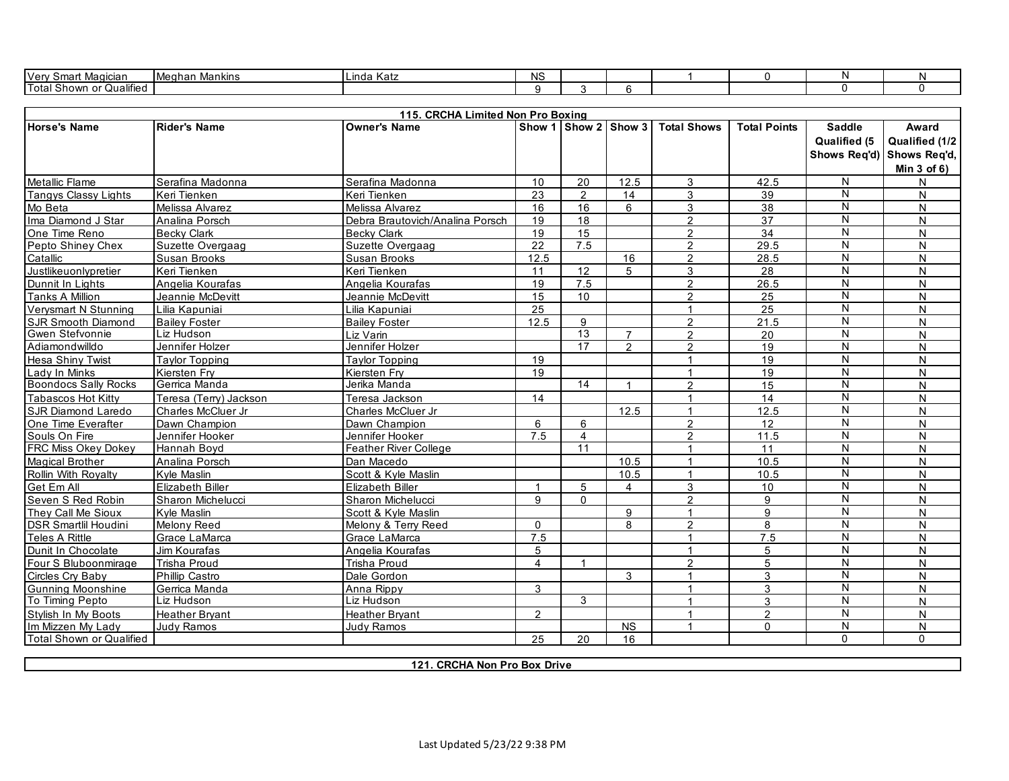| $\sim$<br>$\sim$<br>l Ver<br>Magiciar<br>--<br>.     | Mankins<br>IMeahan | Шi<br>ında<br>nau | <b>NS</b><br>. |  |  |  |
|------------------------------------------------------|--------------------|-------------------|----------------|--|--|--|
| <br>. .<br><b>Total</b><br>า or Qualified<br>. Showr |                    |                   |                |  |  |  |

| 115. CRCHA Limited Non Pro Boxing |                         |                                 |                         |                 |                      |                      |                     |                               |                                                                          |
|-----------------------------------|-------------------------|---------------------------------|-------------------------|-----------------|----------------------|----------------------|---------------------|-------------------------------|--------------------------------------------------------------------------|
| Horse's Name                      | <b>Rider's Name</b>     | <b>Owner's Name</b>             |                         |                 | Show 1 Show 2 Show 3 | <b>Total Shows</b>   | <b>Total Points</b> | <b>Saddle</b><br>Qualified (5 | Award<br>Qualified (1/2<br>Shows Req'd) Shows Req'd,<br>Min $3$ of $6$ ) |
| <b>Metallic Flame</b>             | Serafina Madonna        | Serafina Madonna                | 10 <sup>1</sup>         | 20              | 12.5                 | 3                    | 42.5                | N                             | $\mathsf{N}$                                                             |
| <b>Tangys Classy Lights</b>       | Keri Tienken            | Keri Tienken                    | 23                      | 2               | 14                   | 3                    | 39                  | N                             | N                                                                        |
| Mo Beta                           | Melissa Alvarez         | Melissa Alvarez                 | 16                      | 16              | 6                    | 3                    | 38                  | N                             | N                                                                        |
| Ima Diamond J Star                | Analina Porsch          | Debra Brautovich/Analina Porsch | 19                      | 18              |                      | $\overline{2}$       | 37                  | N                             | N                                                                        |
| One Time Reno                     | <b>Becky Clark</b>      | <b>Becky Clark</b>              | 19                      | 15              |                      | $\overline{2}$       | 34                  | N                             | $\overline{N}$                                                           |
| Pepto Shiney Chex                 | Suzette Overgaag        | Suzette Overgaag                | 22                      | 7.5             |                      | $\overline{2}$       | 29.5                | N                             | N                                                                        |
| Catallic                          | Susan Brooks            | Susan Brooks                    | 12.5                    |                 | 16                   | $\overline{2}$       | 28.5                | N                             | N                                                                        |
| Justlikeuonlypretier              | Keri Tienken            | Keri Tienken                    | 11                      | 12              | 5                    | 3                    | 28                  | N                             | N                                                                        |
| Dunnit In Lights                  | Angelia Kourafas        | Angelia Kourafas                | 19                      | 7.5             |                      | $\overline{2}$       | 26.5                | N                             | N                                                                        |
| <b>Tanks A Million</b>            | Jeannie McDevitt        | Jeannie McDevitt                | 15                      | 10              |                      | $\mathcal{P}$        | 25                  | $\overline{\mathsf{N}}$       | N                                                                        |
| Verysmart N Stunning              | Lilia Kapuniai          | Lilia Kapuniai                  | 25                      |                 |                      |                      | 25                  | N                             | N                                                                        |
| <b>SJR Smooth Diamond</b>         | <b>Bailey Foster</b>    | <b>Bailey Foster</b>            | 12.5                    | 9               |                      | $\overline{2}$       | 21.5                | Ñ                             | N                                                                        |
| Gwen Stefvonnie                   | Liz Hudson              | Liz Varin                       |                         | 13              | $\overline{7}$       | 2                    | 20                  | $\overline{\mathsf{N}}$       | N                                                                        |
| Adiamondwilldo                    | Jennifer Holzer         | Jennifer Holzer                 |                         | 17              | 2                    | $\overline{2}$       | 19                  | N                             | N                                                                        |
| <b>Hesa Shiny Twist</b>           | <b>Tavlor Topping</b>   | <b>Tavlor Topping</b>           | 19                      |                 |                      | 1                    | 19                  | N                             | N                                                                        |
| Lady In Minks                     | Kiersten Frv            | Kiersten Fry                    | 19                      |                 |                      | $\mathbf{1}$         | 19                  | N                             | N                                                                        |
| <b>Boondocs Sally Rocks</b>       | Gerrica Manda           | Jerika Manda                    |                         | $\overline{14}$ | $\overline{1}$       | $\mathfrak{p}$       | 15                  | N                             | N                                                                        |
| Tabascos Hot Kitty                | Teresa (Terry) Jackson  | Teresa Jackson                  | 14                      |                 |                      | 1                    | 14                  | N                             | N                                                                        |
| <b>SJR Diamond Laredo</b>         | Charles McCluer Jr      | Charles McCluer Jr              |                         |                 | 12.5                 | 1                    | 12.5                | N                             | N                                                                        |
| One Time Everafter                | Dawn Champion           | Dawn Champion                   | 6                       | 6               |                      | $\overline{2}$       | 12                  | N                             | N                                                                        |
| Souls On Fire                     | Jennifer Hooker         | Jennifer Hooker                 | 7.5                     | 4               |                      | $\overline{2}$       | 11.5                | N                             | N                                                                        |
| <b>FRC Miss Okey Dokey</b>        | Hannah Boyd             | <b>Feather River College</b>    |                         | 11              |                      | 1                    | 11                  | N                             | N                                                                        |
| <b>Magical Brother</b>            | Analina Porsch          | Dan Macedo                      |                         |                 | 10.5                 | $\mathbf{1}$         | 10.5                | N                             | $\mathsf{N}$                                                             |
| Rollin With Royalty               | Kyle Maslin             | Scott & Kyle Maslin             |                         |                 | 10.5                 | $\mathbf{1}$         | 10.5                | N                             | N                                                                        |
| Get Em All                        | <b>Elizabeth Biller</b> | <b>Elizabeth Biller</b>         | $\overline{1}$          | 5               | 4                    | 3                    | 10                  | N                             | $\mathsf{N}$                                                             |
| Seven S Red Robin                 | Sharon Michelucci       | Sharon Michelucci               | 9                       | $\Omega$        |                      | $\mathcal{P}$        | 9                   | N                             | N                                                                        |
| They Call Me Sioux                | Kyle Maslin             | Scott & Kyle Maslin             |                         |                 | 9                    | $\mathbf{1}$         | 9                   | N                             | N                                                                        |
| <b>DSR Smartlil Houdini</b>       | Melony Reed             | Melony & Terry Reed             | $\Omega$                |                 | 8                    | $\mathfrak{p}$       | 8                   | N                             | N                                                                        |
| <b>Teles A Rittle</b>             | Grace LaMarca           | Grace LaMarca                   | 7.5                     |                 |                      | $\mathbf{1}$         | 7.5                 | $\overline{\mathsf{N}}$       | N                                                                        |
| Dunit In Chocolate                | Jim Kourafas            | Angelia Kourafas                | 5                       |                 |                      | $\mathbf{1}$         | 5                   | N                             | N                                                                        |
| Four S Bluboonmirage              | <b>Trisha Proud</b>     | <b>Trisha Proud</b>             | $\overline{\mathbf{4}}$ | $\overline{1}$  |                      | $\overline{2}$       | 5                   | N                             | N                                                                        |
| Circles Crv Baby                  | <b>Phillip Castro</b>   | Dale Gordon                     |                         |                 | 3                    | 1                    | 3                   | N                             | N                                                                        |
| Gunning Moonshine                 | Gerrica Manda           | Anna Rippy                      | 3                       |                 |                      | 1                    | 3                   | Ñ                             | N                                                                        |
| To Timing Pepto                   | Liz Hudson              | Liz Hudson                      |                         | 3               |                      | 1                    | 3                   | N                             | N                                                                        |
| Stylish In My Boots               | <b>Heather Brvant</b>   | <b>Heather Bryant</b>           | $\mathcal{P}$           |                 |                      | $\blacktriangleleft$ | $\mathcal{P}$       | N                             | N                                                                        |
| Im Mizzen My Lady                 | <b>Judy Ramos</b>       | Judy Ramos                      |                         |                 | <b>NS</b>            | $\mathbf{1}$         | $\mathbf 0$         | N                             | N                                                                        |
| <b>Total Shown or Qualified</b>   |                         |                                 | 25                      | 20              | 16                   |                      |                     | $\Omega$                      | $\Omega$                                                                 |

**121. CRCHA Non Pro Box Drive**